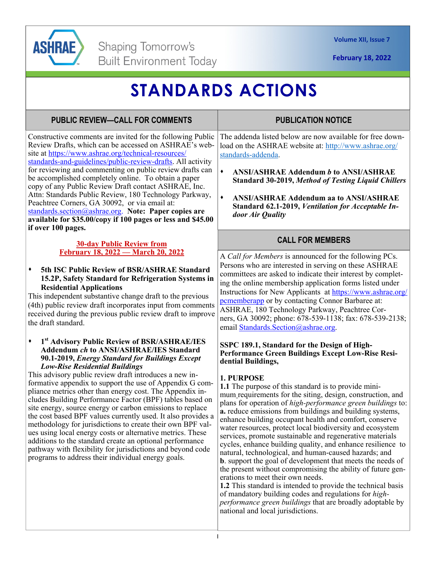

**February 18, 2022** 

# **STANDARDS ACTIONS**

# **PUBLIC REVIEW—CALL FOR COMMENTS**

Constructive comments are invited for the following Public Review Drafts, which can be accessed on ASHRAE's website at https://www.ashrae.org/technical-resources/ standards-and-guidelines/public-review-drafts. All activity for reviewing and commenting on public review drafts can be accomplished completely online. To obtain a paper copy of any Public Review Draft contact ASHRAE, Inc. Attn: Standards Public Review, 180 Technology Parkway, Peachtree Corners, GA 30092, or via email at: standards.section@ashrae.org. **Note: Paper copies are available for \$35.00/copy if 100 pages or less and \$45.00 if over 100 pages.** 

### **30-day Public Review from February 18, 2022 — March 20, 2022**

### **5th ISC Public Review of BSR/ASHRAE Standard 15.2P, Safety Standard for Refrigeration Systems in Residential Applications**

This independent substantive change draft to the previous (4th) public review draft incorporates input from comments received during the previous public review draft to improve the draft standard.

#### **1st Advisory Public Review of BSR/ASHRAE/IES Addendum** *ch* **to ANSI/ASHRAE/IES Standard 90.1-2019,** *Energy Standard for Buildings Except Low-Rise Residential Buildings*

This advisory public review draft introduces a new informative appendix to support the use of Appendix G compliance metrics other than energy cost. The Appendix includes Building Performance Factor (BPF) tables based on site energy, source energy or carbon emissions to replace the cost based BPF values currently used. It also provides a methodology for jurisdictions to create their own BPF values using local energy costs or alternative metrics. These additions to the standard create an optional performance pathway with flexibility for jurisdictions and beyond code programs to address their individual energy goals.

# **PUBLICATION NOTICE**

The addenda listed below are now available for free download on the ASHRAE website at: http://www.ashrae.org/ standards-addenda.

- **ANSI/ASHRAE Addendum** *b* **to ANSI/ASHRAE Standard 30-2019,** *Method of Testing Liquid Chillers*
- **ANSI/ASHRAE Addendum aa to ANSI/ASHRAE Standard 62.1-2019,** *Ventilation for Acceptable Indoor Air Quality*

### **CALL FOR MEMBERS**

A *Call for Members* is announced for the following PCs. Persons who are interested in serving on these ASHRAE committees are asked to indicate their interest by completing the online membership application forms listed under Instructions for New Applicants at https://www.ashrae.org/ pcmemberapp or by contacting Connor Barbaree at: ASHRAE, 180 Technology Parkway, Peachtree Corners, GA 30092; phone: 678-539-1138; fax: 678-539-2138; email Standards.Section@ashrae.org.

#### **SSPC 189.1, Standard for the Design of High-Performance Green Buildings Except Low-Rise Residential Buildings,**

### **1. PURPOSE**

**1.1** The purpose of this standard is to provide minimum requirements for the siting, design, construction, and plans for operation of *high-performance green buildings* to: **a.** reduce emissions from buildings and building systems, enhance building occupant health and comfort, conserve water resources, protect local biodiversity and ecosystem services, promote sustainable and regenerative materials cycles, enhance building quality, and enhance resilience to natural, technological, and human-caused hazards; and **b**. support the goal of development that meets the needs of the present without compromising the ability of future generations to meet their own needs.

**1.2** This standard is intended to provide the technical basis of mandatory building codes and regulations for *highperformance green buildings* that are broadly adoptable by national and local jurisdictions.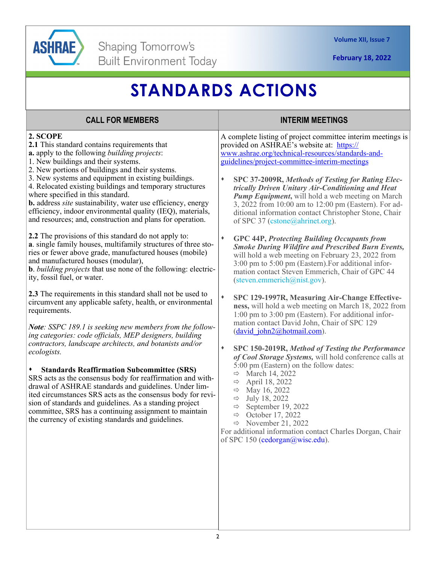

**February 18, 2022** 

# **STANDARDS ACTIONS**

# **CALL FOR MEMBERS INTERIM MEETINGS**

### **2. SCOPE**

**2.1** This standard contains requirements that

- **a.** apply to the following *building projects*:
- 1. New buildings and their systems.
- 2. New portions of buildings and their systems.
- 3. New systems and equipment in existing buildings. 4. Relocated existing buildings and temporary structures where specified in this standard.
- **b.** address *site* sustainability, water use efficiency, energy efficiency, indoor environmental quality (IEQ), materials, and resources; and, construction and plans for operation.

**2.2** The provisions of this standard do not apply to: **a**. single family houses, multifamily structures of three stories or fewer above grade, manufactured houses (mobile) and manufactured houses (modular),

**b**. *building projects* that use none of the following: electricity, fossil fuel, or water.

**2.3** The requirements in this standard shall not be used to circumvent any applicable safety, health, or environmental requirements.

*Note: SSPC 189.1 is seeking new members from the following categories: code officials, MEP designers, building contractors, landscape architects, and botanists and/or ecologists.* 

### **Standards Reaffirmation Subcommittee (SRS)**

SRS acts as the consensus body for reaffirmation and withdrawal of ASHRAE standards and guidelines. Under limited circumstances SRS acts as the consensus body for revision of standards and guidelines. As a standing project committee, SRS has a continuing assignment to maintain the currency of existing standards and guidelines.

A complete listing of project committee interim meetings is provided on ASHRAE's website at: https:// www.ashrae.org/technical-resources/standards-andguidelines/project-committee-interim-meetings

- **SPC 37-2009R,** *Methods of Testing for Rating Electrically Driven Unitary Air-Conditioning and Heat Pump Equipment***,** will hold a web meeting on March 3, 2022 from 10:00 am to 12:00 pm (Eastern). For additional information contact Christopher Stone, Chair of SPC 37 (cstone@ahrinet.org).
- **GPC 44P,** *Protecting Building Occupants from Smoke During Wildfire and Prescribed Burn Events,* will hold a web meeting on February 23, 2022 from 3:00 pm to 5:00 pm (Eastern).For additional information contact Steven Emmerich, Chair of GPC 44 (steven.emmerich@nist.gov).
- **SPC 129-1997R, Measuring Air-Change Effectiveness,** will hold a web meeting on March 18, 2022 from 1:00 pm to 3:00 pm (Eastern). For additional information contact David John, Chair of SPC 129 (david\_john2@hotmail.com).
- **SPC 150-2019R,** *Method of Testing the Performance of Cool Storage Systems,* will hold conference calls at 5:00 pm (Eastern) on the follow dates:
	- $\Rightarrow$  March 14, 2022
	- $\Rightarrow$  April 18, 2022
	- $\Rightarrow$  May 16, 2022
	- $\Rightarrow$  July 18, 2022
	- $\Rightarrow$  September 19, 2022
	- $\Rightarrow$  October 17, 2022
	- $\Rightarrow$  November 21, 2022

For additional information contact Charles Dorgan, Chair of SPC 150 (cedorgan@wisc.edu).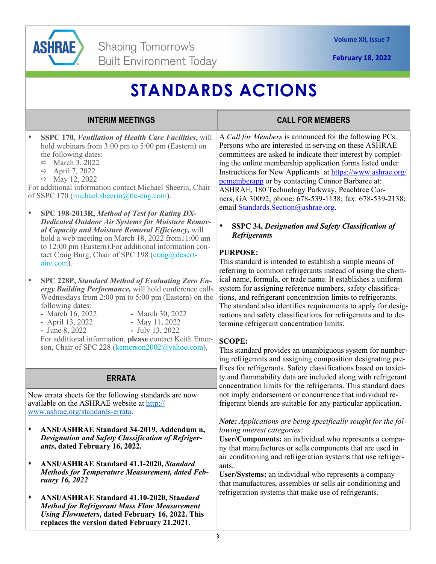

# **STANDARDS ACTIONS**

| <b>INTERIM MEETINGS</b>                                                                                                                                                                                                                                                                                                                                                                                                                                                                                                                                                                                                                                                                                                                                                                                                                                                                                                                                                                                                                                                                                                                 | <b>CALL FOR MEMBERS</b>                                                                                                                                                                                                                                                                                                                                                                                                                                                                                                                                                                                                                                                                                                                                                                                                                                                                                                                                                                                                                                                                                                                                                                                                         |
|-----------------------------------------------------------------------------------------------------------------------------------------------------------------------------------------------------------------------------------------------------------------------------------------------------------------------------------------------------------------------------------------------------------------------------------------------------------------------------------------------------------------------------------------------------------------------------------------------------------------------------------------------------------------------------------------------------------------------------------------------------------------------------------------------------------------------------------------------------------------------------------------------------------------------------------------------------------------------------------------------------------------------------------------------------------------------------------------------------------------------------------------|---------------------------------------------------------------------------------------------------------------------------------------------------------------------------------------------------------------------------------------------------------------------------------------------------------------------------------------------------------------------------------------------------------------------------------------------------------------------------------------------------------------------------------------------------------------------------------------------------------------------------------------------------------------------------------------------------------------------------------------------------------------------------------------------------------------------------------------------------------------------------------------------------------------------------------------------------------------------------------------------------------------------------------------------------------------------------------------------------------------------------------------------------------------------------------------------------------------------------------|
| ٠<br>SSPC 170, Ventilation of Health Care Facilities, will<br>hold webinars from 3:00 pm to 5:00 pm (Eastern) on<br>the following dates:<br>$\Rightarrow$ March 3, 2022<br>April 7, 2022<br>$\Rightarrow$<br>$\Rightarrow$ May 12, 2022<br>For additional information contact Michael Sheerin, Chair<br>of SSPC 170 (michael.sheerin@tlc-eng.com).<br>٠<br>SPC 198-2013R, Method of Test for Rating DX-<br><b>Dedicated Outdoor Air Systems for Moisture Remov-</b><br>al Capacity and Moisture Removal Efficiency, will<br>hold a web meeting on March 18, 2022 from 11:00 am<br>to 12:00 pm (Eastern). For additional information con-<br>tact Craig Burg, Chair of SPC 198 (craig@desert-<br>aire.com).<br>٠<br>SPC 228P, Standard Method of Evaluating Zero En-<br>ergy Building Performance, will hold conference calls<br>Wednesdays from 2:00 pm to 5:00 pm (Eastern) on the<br>following dates:<br>- March 16, 2022<br>- March 30, 2022<br>- April 13, 2022<br>- May 11, 2022<br>- June 8, 2022<br>- July 13, 2022<br>For additional information, please contact Keith Emer-<br>son, Chair of SPC 228 (kemerson2002@yahoo.com). | A Call for Members is announced for the following PCs.<br>Persons who are interested in serving on these ASHRAE<br>committees are asked to indicate their interest by complet-<br>ing the online membership application forms listed under<br>Instructions for New Applicants at https://www.ashrae.org/<br>pememberapp or by contacting Connor Barbaree at:<br>ASHRAE, 180 Technology Parkway, Peachtree Cor-<br>ners, GA 30092; phone: 678-539-1138; fax: 678-539-2138;<br>email Standards. Section@ashrae.org.<br>$\blacklozenge$<br><b>SSPC 34, Designation and Safety Classification of</b><br><b>Refrigerants</b><br><b>PURPOSE:</b><br>This standard is intended to establish a simple means of<br>referring to common refrigerants instead of using the chem-<br>ical name, formula, or trade name. It establishes a uniform<br>system for assigning reference numbers, safety classifica-<br>tions, and refrigerant concentration limits to refrigerants.<br>The standard also identifies requirements to apply for desig-<br>nations and safety classifications for refrigerants and to de-<br>termine refrigerant concentration limits.<br><b>SCOPE:</b><br>This standard provides an unambiguous system for number- |
| <b>ERRATA</b>                                                                                                                                                                                                                                                                                                                                                                                                                                                                                                                                                                                                                                                                                                                                                                                                                                                                                                                                                                                                                                                                                                                           | ing refrigerants and assigning composition designating pre-<br>fixes for refrigerants. Safety classifications based on toxici-<br>ty and flammability data are included along with refrigerant                                                                                                                                                                                                                                                                                                                                                                                                                                                                                                                                                                                                                                                                                                                                                                                                                                                                                                                                                                                                                                  |
| New errata sheets for the following standards are now<br>available on the ASHRAE website at http://<br>www.ashrae.org/standards-errata.                                                                                                                                                                                                                                                                                                                                                                                                                                                                                                                                                                                                                                                                                                                                                                                                                                                                                                                                                                                                 | concentration limits for the refrigerants. This standard does<br>not imply endorsement or concurrence that individual re-<br>frigerant blends are suitable for any particular application.                                                                                                                                                                                                                                                                                                                                                                                                                                                                                                                                                                                                                                                                                                                                                                                                                                                                                                                                                                                                                                      |
| <b>ANSI/ASHRAE Standard 34-2019, Addendum n.</b><br><b>Designation and Safety Classification of Refriger-</b><br><i>ants</i> , dated February 16, 2022.<br><b>ANSI/ASHRAE Standard 41.1-2020, Standard</b><br>٠<br><b>Methods for Temperature Measurement, dated Feb-</b><br>ruary 16, 2022<br><b>ANSI/ASHRAE Standard 41.10-2020, Standard</b><br>٠<br><b>Method for Refrigerant Mass Flow Measurement</b><br>Using Flowmeters, dated February 16, 2022. This<br>replaces the version dated February 21.2021.                                                                                                                                                                                                                                                                                                                                                                                                                                                                                                                                                                                                                          | Note: Applications are being specifically sought for the fol-<br>lowing interest categories:<br>User/Components: an individual who represents a compa-<br>ny that manufactures or sells components that are used in<br>air conditioning and refrigeration systems that use refriger-<br>ants.<br>User/Systems: an individual who represents a company<br>that manufactures, assembles or sells air conditioning and<br>refrigeration systems that make use of refrigerants.                                                                                                                                                                                                                                                                                                                                                                                                                                                                                                                                                                                                                                                                                                                                                     |